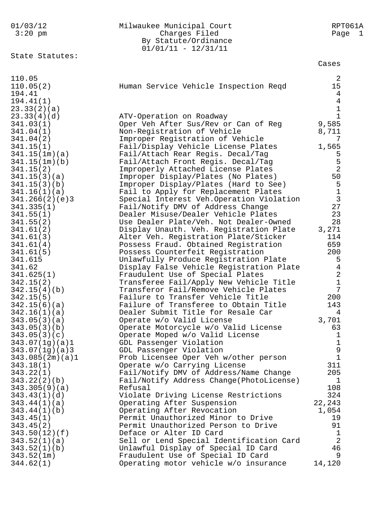| 01/03/12<br>$3:20$ pm                                     | Milwaukee Municipal Court<br>Charges Filed<br>By Statute/Ordinance<br>$01/01/11 - 12/31/11$ | RPT061A<br>Page<br>$\perp$ |
|-----------------------------------------------------------|---------------------------------------------------------------------------------------------|----------------------------|
| State Statutes:                                           |                                                                                             | Cases                      |
| 110.05<br>110.05(2)<br>194.41<br>194.41(1)<br>23.33(2)(a) | Human Service Vehicle Inspection Regd                                                       | 2<br>15<br>4<br>4<br>1     |
| 23.33(4)(d)                                               | ATV-Operation on Roadway                                                                    | $\mathbf{1}$               |
| 341.03(1)                                                 | Oper Veh After Sus/Rev or Can of Reg                                                        | 9,585                      |
| 341.04(1)                                                 | Non-Registration of Vehicle                                                                 | 8,711                      |
| 341.04(2)                                                 | Improper Registration of Vehicle                                                            | 7                          |
| 341.15(1)                                                 | Fail/Display Vehicle License Plates                                                         | 1,565                      |
| 341.15(1m)(a)                                             | Fail/Attach Rear Regis. Decal/Tag                                                           | 5                          |
| 341.15(1m)(b)                                             | Fail/Attach Front Regis. Decal/Tag                                                          | 5                          |
| 341.15(2)                                                 | Improperly Attached License Plates                                                          | $\overline{2}$             |
| 341.15(3)(a)                                              | Improper Display/Plates (No Plates)                                                         | 50                         |
| 341.15(3)(b)                                              | Improper Display/Plates (Hard to See)                                                       | 5                          |
| 341.16(1)(a)                                              | Fail to Apply for Replacement Plates                                                        | $\mathbf 1$                |
| 341.266(2)(e)3                                            | Special Interest Veh. Operation Violation                                                   | 3                          |
| 341.335(1)                                                | Fail/Notify DMV of Address Change                                                           | 27                         |
| 341.55(1)                                                 | Dealer Misuse/Dealer Vehicle Plates                                                         | 23                         |
| 341.55(2)                                                 | Use Dealer Plate/Veh. Not Dealer-Owned                                                      | 28                         |
| 341.61(2)                                                 | Display Unauth. Veh. Registration Plate                                                     | 3,271                      |
| 341.61(3)                                                 | Alter Veh. Registration Plate/Sticker                                                       | 114                        |
| 341.61(4)                                                 | Possess Fraud. Obtained Registration                                                        | 659                        |
| 341.61(5)                                                 | Possess Counterfeit Registration                                                            | 200                        |
| 341.615                                                   | Unlawfully Produce Registration Plate                                                       | 5                          |
| 341.62                                                    | Display False Vehicle Registration Plate                                                    | $\overline{4}$             |
| 341.625(1)                                                | Fraudulent Use of Special Plates                                                            | $\overline{2}$             |
| 342.15(2)                                                 | Transferee Fail/Apply New Vehicle Title                                                     | $\mathbf{1}$               |
| 342.15(4)(b)                                              | Transferor Fail/Remove Vehicle Plates                                                       | 7                          |
| 342.15(5)                                                 | Failure to Transfer Vehicle Title                                                           | 200                        |
| 342.15(6)(a)                                              | Failure of Transferee to Obtain Title                                                       | 143                        |
| 342.16(1)(a)                                              | Dealer Submit Title for Resale Car                                                          | 4                          |
| 343.05(3)(a)                                              | Operate w/o Valid License                                                                   | 3,701                      |
| 343.05(3)(b)                                              | Operate Motorcycle w/o Valid License                                                        | 63                         |
| 343.05(3)(c)                                              | Operate Moped w/o Valid License                                                             | 1                          |
| 343.07(1g)(a)1                                            | GDL Passenger Violation                                                                     | 1                          |
| 343.07(1g)(a)3                                            | GDL Passenger Violation                                                                     | 9                          |
| 343.085(2m)(a)1                                           | Prob Licensee Oper Veh w/other person                                                       | $\mathbf 1$                |
| 343.18(1)                                                 | Operate w/o Carrying License                                                                | 311                        |
| 343.22(1)                                                 | Fail/Notify DMV of Address/Name Change                                                      | 205                        |
| 343.22(2)(b)                                              | Fail/Notify Address Change(PhotoLicense)                                                    | 1                          |
| 343.305(9)(a)                                             | Refusal                                                                                     | 108                        |
| 343.43(1)(d)                                              | Violate Driving License Restrictions                                                        | 324                        |
| 343.44(1)(a)                                              | Operating After Suspension                                                                  | 22,243                     |
| 343.44(1)(b)                                              | Operating After Revocation                                                                  | 1,054                      |
| 343.45(1)                                                 | Permit Unauthorized Minor to Drive                                                          | 19                         |
| 343.45(2)                                                 | Permit Unauthorized Person to Drive                                                         | 91                         |
| 343.50(12)(f)                                             | Deface or Alter ID Card                                                                     | 1                          |
| 343.52(1)(a)                                              | Sell or Lend Special Identification Card                                                    | 2                          |
| 343.52(1)(b)                                              | Unlawful Display of Special ID Card                                                         | 46                         |
| 343.52(1m)                                                | Fraudulent Use of Special ID Card                                                           | 9                          |
| 344.62(1)                                                 | Operating motor vehicle w/o insurance                                                       | 14,120                     |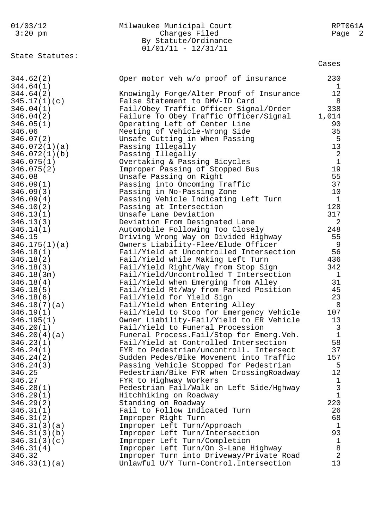| 01/03/12<br>$3:20$ pm       | Milwaukee Municipal Court<br>Charges Filed<br>By Statute/Ordinance<br>$01/01/11 - 12/31/11$ | RPT061A<br>Page 2          |
|-----------------------------|---------------------------------------------------------------------------------------------|----------------------------|
| State Statutes:             |                                                                                             | Cases                      |
| 344.62(2)<br>344.64(1)      | Oper motor veh w/o proof of insurance                                                       | 230<br>1                   |
| 344.64(2)                   | Knowingly Forge/Alter Proof of Insurance                                                    | 12                         |
| 345.17(1)(c)                | False Statement to DMV-ID Card                                                              | 8                          |
| 346.04(1)                   | Fail/Obey Traffic Officer Signal/Order                                                      | 338                        |
| 346.04(2)                   | Failure To Obey Traffic Officer/Signal                                                      | 1,014                      |
| 346.05(1)                   | Operating Left of Center Line                                                               | 90                         |
| 346.06                      | Meeting of Vehicle-Wrong Side                                                               | 35                         |
| 346.07(2)                   | Unsafe Cutting in When Passing                                                              | 5                          |
| 346.072(1)(a)               | Passing Illegally                                                                           | 13                         |
| 346.072(1)(b)<br>346.075(1) | Passing Illegally<br>Overtaking & Passing Bicycles                                          | $\sqrt{2}$<br>$\mathbf{1}$ |
| 346.075(2)                  | Improper Passing of Stopped Bus                                                             | 19                         |
| 346.08                      | Unsafe Passing on Right                                                                     | 55                         |
| 346.09(1)                   | Passing into Oncoming Traffic                                                               | 37                         |
| 346.09(3)                   | Passing in No-Passing Zone                                                                  | 10                         |
| 346.09(4)                   | Passing Vehicle Indicating Left Turn                                                        | $\mathbf{1}$               |
| 346.10(2)                   | Passing at Intersection                                                                     | 128                        |
| 346.13(1)                   | Unsafe Lane Deviation                                                                       | 317                        |
| 346.13(3)                   | Deviation From Designated Lane                                                              | 2                          |
| 346.14(1)<br>346.15         | Automobile Following Too Closely<br>Driving Wrong Way on Divided Highway                    | 248<br>55                  |
| 346.175(1)(a)               | Owners Liability-Flee/Elude Officer                                                         | 9                          |
| 346.18(1)                   | Fail/Yield at Uncontrolled Intersection                                                     | 56                         |
| 346.18(2)                   | Fail/Yield while Making Left Turn                                                           | 436                        |
| 346.18(3)                   | Fail/Yield Right/Way from Stop Sign                                                         | 342                        |
| 346.18(3m)                  | Fail/Yield/Uncontrolled T Intersection                                                      | 1                          |
| 346.18(4)                   | Fail/Yield when Emerging from Alley                                                         | 31                         |
| 346.18(5)                   | Fail/Yield Rt/Way from Parked Position                                                      | 45                         |
| 346.18(6)                   | Fail/Yield for Yield Sign                                                                   | 23                         |
| 346.18(7)(a)<br>346.19(1)   | Fail/Yield when Entering Alley<br>Fail/Yield to Stop for Emergency Vehicle                  | 8<br>107                   |
| 346.195(1)                  | Owner Liability-Fail/Yield to ER Vehicle                                                    | 13                         |
| 346.20(1)                   | Fail/Yield to Funeral Procession                                                            | 3                          |
| 346.20(4)(a)                | Funeral Process. Fail/Stop for Emerg. Veh.                                                  | $\mathbf{1}$               |
| 346.23(1)                   | Fail/Yield at Controlled Intersection                                                       | 58                         |
| 346.24(1)                   | FYR to Pedestrian/uncontroll. Intersect                                                     | 37                         |
| 346.24(2)                   | Sudden Pedes/Bike Movement into Traffic                                                     | 157                        |
| 346.24(3)                   | Passing Vehicle Stopped for Pedestrian                                                      | 5                          |
| 346.25<br>346.27            | Pedestrian/Bike FYR when CrossingRoadway                                                    | 12<br>$\mathbf 1$          |
| 346.28(1)                   | FYR to Highway Workers<br>Pedestrian Fail/Walk on Left Side/Hghway                          | 3                          |
| 346.29(1)                   | Hitchhiking on Roadway                                                                      | $\mathbf{1}$               |
| 346.29(2)                   | Standing on Roadway                                                                         | 220                        |
| 346.31(1)                   | Fail to Follow Indicated Turn                                                               | 26                         |
| 346.31(2)                   | Improper Right Turn                                                                         | 68                         |
| 346.31(3)(a)                | Improper Left Turn/Approach                                                                 | $\mathbf 1$                |
| 346.31(3)(b)                | Improper Left Turn/Intersection                                                             | 93                         |
| 346.31(3)(c)                | Improper Left Turn/Completion                                                               | 1                          |
| 346.31(4)                   | Improper Left Turn/On 3-Lane Highway                                                        | $\, 8$                     |
| 346.32<br>346.33(1)(a)      | Improper Turn into Driveway/Private Road<br>Unlawful U/Y Turn-Control. Intersection         | $\overline{2}$<br>13       |
|                             |                                                                                             |                            |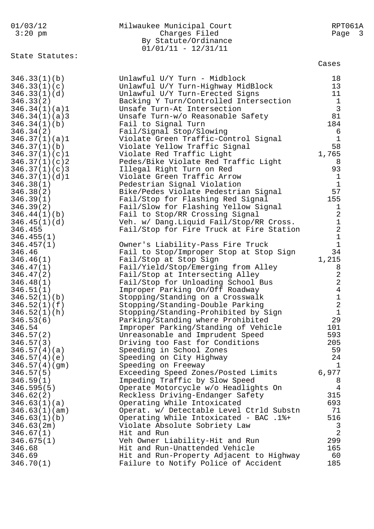| 01/03/12<br>$3:20$ pm                                                                                                                                                                                                                                                                                                       | Milwaukee Municipal Court<br>Charges Filed<br>By Statute/Ordinance<br>$01/01/11 - 12/31/11$                                                                                                                                                                                                                                                                                                                                                                                                                                                                                                                                                                                                                                                                    | RPT061A<br>Page 3                                                                                                                                                                                                       |
|-----------------------------------------------------------------------------------------------------------------------------------------------------------------------------------------------------------------------------------------------------------------------------------------------------------------------------|----------------------------------------------------------------------------------------------------------------------------------------------------------------------------------------------------------------------------------------------------------------------------------------------------------------------------------------------------------------------------------------------------------------------------------------------------------------------------------------------------------------------------------------------------------------------------------------------------------------------------------------------------------------------------------------------------------------------------------------------------------------|-------------------------------------------------------------------------------------------------------------------------------------------------------------------------------------------------------------------------|
| State Statutes:                                                                                                                                                                                                                                                                                                             |                                                                                                                                                                                                                                                                                                                                                                                                                                                                                                                                                                                                                                                                                                                                                                | Cases                                                                                                                                                                                                                   |
| 346.33(1)(b)<br>346.33(1)(c)<br>346.33(1)(d)<br>346.33(2)<br>346.34(1)(a)1<br>346.34(1)(a)3<br>346.34(1)(b)<br>346.34(2)<br>346.37(1)(a)1<br>346.37(1)(b)<br>346.37(1)(c)1<br>346.37(1)(c)<br>346.37(1)(c)3<br>346.37(1)(d)1<br>346.38(1)<br>346.38(2)<br>346.39(1)<br>346.39(2)<br>346.44(1)(b)<br>346.45(1)(d)<br>346.455 | Unlawful U/Y Turn - Midblock<br>Unlawful U/Y Turn-Highway MidBlock<br>Unlawful U/Y Turn-Erected Signs<br>Backing Y Turn/Controlled Intersection<br>Unsafe Turn-At Intersection<br>Unsafe Turn-w/o Reasonable Safety<br>Fail to Signal Turn<br>Fail/Signal Stop/Slowing<br>Violate Green Traffic-Control Signal<br>Violate Yellow Traffic Signal<br>Violate Red Traffic Light<br>Pedes/Bike Violate Red Traffic Light<br>Illegal Right Turn on Red<br>Violate Green Traffic Arrow<br>Pedestrian Signal Violation<br>Bike/Pedes Violate Pedestrian Signal<br>Fail/Stop for Flashing Red Signal<br>Fail/Slow for Flashing Yellow Signal<br>Fail to Stop/RR Crossing Signal<br>Veh. w/ Dang.Liquid Fail/Stop/RR Cross.<br>Fail/Stop for Fire Truck at Fire Station | 18<br>13<br>11<br>$\mathbf{1}$<br>$\mathfrak{Z}$<br>81<br>184<br>6<br>$\mathbf{1}$<br>58<br>1,765<br>8<br>93<br>$\mathbf{1}$<br>$\mathbf{1}$<br>57<br>155<br>$\mathbf 1$<br>$\sqrt{2}$<br>$\mathbf 1$<br>$\overline{2}$ |
| 346.455(1)<br>346.457(1)<br>346.46<br>346.46(1)<br>346.47(1)<br>346.47(2)<br>346.48(1)<br>346.51(1)<br>346.52(1)(b)<br>346.52(1)(f)<br>346.52(1)(h)<br>346.53(6)<br>346.54<br>346.57(2)<br>346.57(3)<br>346.57(4)(a)<br>346.57(4)(e)<br>346.57(4)(gm)                                                                       | Owner's Liability-Pass Fire Truck<br>Fail to Stop/Improper Stop at Stop Sign<br>Fail/Stop at Stop Sign<br>Fail/Yield/Stop/Emerging from Alley<br>Fail/Stop at Intersecting Alley<br>Fail/Stop for Unloading School Bus<br>Improper Parking On/Off Roadway<br>Stopping/Standing on a Crosswalk<br>Stopping/Standing-Double Parking<br>Stopping/Standing-Prohibited by Sign<br>Parking/Standing where Prohibited<br>Improper Parking/Standing of Vehicle<br>Unreasonable and Imprudent Speed<br>Driving too Fast for Conditions<br>Speeding in School Zones<br>Speeding on City Highway<br>Speeding on Freeway                                                                                                                                                   | $\mathbf 1$<br>$1\,$<br>34<br>1,215<br>8<br>$\mathbf{2}$<br>$\overline{2}$<br>$\overline{4}$<br>1<br>2<br>$\mathbf 1$<br>29<br>101<br>593<br>205<br>59<br>24<br>$\mathbf{1}$                                            |
| 346.57(5)<br>346.59(1)<br>346.595(5)<br>346.62(2)<br>346.63(1)(a)<br>346.63(1)(am)<br>346.63(1)(b)<br>346.63(2m)<br>346.67(1)<br>346.675(1)<br>346.68<br>346.69<br>346.70(1)                                                                                                                                                | Exceeding Speed Zones/Posted Limits<br>Impeding Traffic by Slow Speed<br>Operate Motorcycle w/o Headlights On<br>Reckless Driving-Endanger Safety<br>Operating While Intoxicated<br>Operat. w/ Detectable Level Ctrld Substn<br>Operating While Intoxicated - BAC .1%+<br>Violate Absolute Sobriety Law<br>Hit and Run<br>Veh Owner Liability-Hit and Run<br>Hit and Run-Unattended Vehicle<br>Hit and Run-Property Adjacent to Highway<br>Failure to Notify Police of Accident                                                                                                                                                                                                                                                                                | 6,977<br>8<br>$\overline{4}$<br>315<br>693<br>71<br>516<br>3<br>$\overline{2}$<br>299<br>165<br>60<br>185                                                                                                               |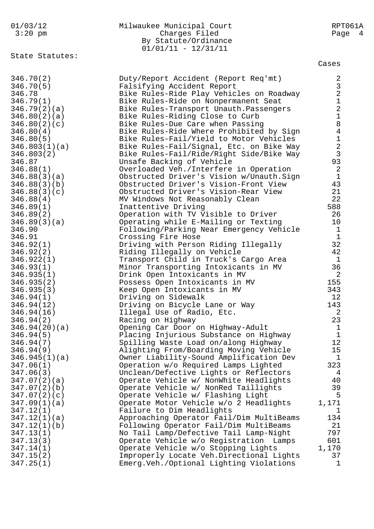## 01/03/12 Milwaukee Municipal Court RPT061A Charges Filed Page 4 By Statute/Ordinance  $01/01/11 - 12/31/11$

State Statutes:

Cases

| 346.70(2)     | Duty/Report Accident (Report Req'mt)       | 2              |
|---------------|--------------------------------------------|----------------|
| 346.70(5)     | Falsifying Accident Report                 | $\mathsf{3}$   |
| 346.78        | Bike Rules-Ride Play Vehicles on Roadway   | $\overline{a}$ |
| 346.79(1)     | Bike Rules-Ride on Nonpermanent Seat       | $\mathbf 1$    |
| 346.79(2)(a)  | Bike Rules-Transport Unauth. Passengers    | $\overline{2}$ |
| 346.80(2)(a)  | Bike Rules-Riding Close to Curb            | $1\,$          |
| 346.80(2)(c)  | Bike Rules-Due Care when Passing           | $\,8\,$        |
| 346.80(4)     | Bike Rules-Ride Where Prohibited by Sign   | $\overline{4}$ |
| 346.80(5)     | Bike Rules-Fail/Yield to Motor Vehicles    | $\mathbf 1$    |
| 346.803(1)(a) | Bike Rules-Fail/Signal, Etc. on Bike Way   | $\overline{2}$ |
| 346.803(2)    | Bike Rules-Fail/Ride/Right Side/Bike Way   | $\mathfrak{Z}$ |
| 346.87        | Unsafe Backing of Vehicle                  | 93             |
| 346.88(1)     | Overloaded Veh./Interfere in Operation     | 2              |
|               |                                            | $\mathbf{1}$   |
| 346.88(3)(a)  | Obstructed Driver's Vision w/Unauth.Sign   | 43             |
| 346.88(3)(b)  | Obstructed Driver's Vision-Front View      |                |
| 346.88(3)(c)  | Obstructed Driver's Vision-Rear View       | 21             |
| 346.88(4)     | MV Windows Not Reasonably Clean            | 22             |
| 346.89(1)     | Inattentive Driving                        | 588            |
| 346.89(2)     | Operation with TV Visible to Driver        | 26             |
| 346.89(3)(a)  | Operating while E-Mailing or Texting       | $10 \,$        |
| 346.90        | Following/Parking Near Emergency Vehicle   | $\mathbf{1}$   |
| 346.91        | Crossing Fire Hose                         | $\mathbf{1}$   |
| 346.92(1)     | Driving with Person Riding Illegally       | 32             |
| 346.92(2)     | Riding Illegally on Vehicle                | 42             |
| 346.922(1)    | Transport Child in Truck's Cargo Area      | $\mathbf{1}$   |
| 346.93(1)     | Minor Transporting Intoxicants in MV       | 36             |
| 346.935(1)    | Drink Open Intoxicants in MV               | 2              |
| 346.935(2)    | Possess Open Intoxicants in MV             | 155            |
| 346.935(3)    | Keep Open Intoxicants in MV                | 343            |
| 346.94(1)     | Driving on Sidewalk                        | 12             |
| 346.94(12)    | Driving on Bicycle Lane or Way             | 143            |
| 346.94(16)    | Illegal Use of Radio, Etc.                 | 2              |
| 346.94(2)     | Racing on Highway                          | 23             |
| 346.94(20)(a) | Opening Car Door on Highway-Adult          | $\mathbf{1}$   |
| 346.94(5)     | Placing Injurious Substance on Highway     | $\mathbf{1}$   |
| 346.94(7)     | Spilling Waste Load on/along Highway       | 12             |
| 346.94(9)     | Alighting From/Boarding Moving Vehicle     | 15             |
| 346.945(1)(a) | Owner Liability-Sound Amplification Dev    | $\mathbf{1}$   |
| 347.06(1)     | Operation w/o Required Lamps Lighted       | 323            |
| 347.06(3)     | Unclean/Defective Lights or Reflectors     | 4              |
| 347.07(2)(a)  | Operate Vehicle w/ NonWhite Headlights     | 40             |
| 347.07(2)(b)  | Operate Vehicle w/ NonRed Taillights       | 39             |
| 347.07(2)(c)  | Operate Vehicle w/ Flashing Light          | 5              |
| 347.09(1)(a)  | Operate Motor Vehicle w/o 2 Headlights     | 1,171          |
| 347.12(1)     | Failure to Dim Headlights                  | 1              |
| 347.12(1)(a)  | Approaching Operator Fail/Dim MultiBeams   | 134            |
| 347.12(1)(b)  | Following Operator Fail/Dim MultiBeams     | 21             |
| 347.13(1)     | No Tail Lamp/Defective Tail Lamp-Night     | 797            |
| 347.13(3)     | Operate Vehicle w/o Registration<br>Lamps  | 601            |
| 347.14(1)     | Operate Vehicle w/o Stopping Lights        | 1,170          |
| 347.15(2)     | Improperly Locate Veh.Directional Lights   | 37             |
| 347.25(1)     | Emerg. Veh. / Optional Lighting Violations | 1              |
|               |                                            |                |
|               |                                            |                |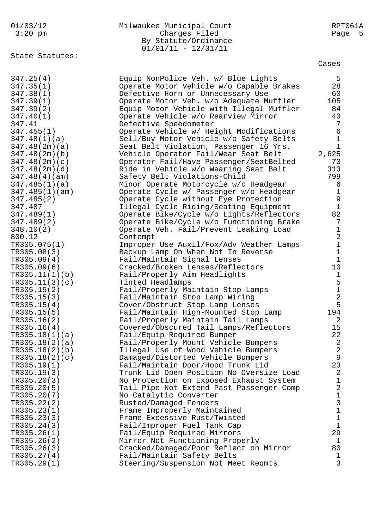| 01/03/12<br>$3:20$ pm<br>State Statutes: | Milwaukee Municipal Court<br>Charges Filed<br>By Statute/Ordinance<br>$01/01/11 - 12/31/11$ | RPT061A<br>Page<br>- 5 |
|------------------------------------------|---------------------------------------------------------------------------------------------|------------------------|
|                                          |                                                                                             | Cases                  |
| 347.25(4)                                | Equip NonPolice Veh. w/ Blue Lights                                                         | 5                      |
| 347.35(1)                                | Operate Motor Vehicle w/o Capable Brakes                                                    | 28                     |
| 347.38(1)                                | Defective Horn or Unnecessary Use                                                           | 60                     |
| 347.39(1)                                | Operate Motor Veh. w/o Adequate Muffler                                                     | 105                    |
| 347.39(2)                                | Equip Motor Vehicle with Illegal Muffler                                                    | 84                     |
| 347.40(1)                                | Operate Vehicle w/o Rearview Mirror                                                         | 40                     |
| 347.41                                   | Defective Speedometer                                                                       | 7                      |
| 347.455(1)                               | Operate Vehicle w/ Height Modifications                                                     | 6                      |
| 347.48(1)(a)                             | Sell/Buy Motor Vehicle w/o Safety Belts                                                     | $\mathbf 1$            |
| 347.48(2m)(a)                            | Seat Belt Violation, Passenger 16 Yrs.                                                      | 1                      |
| 347.48(2m)(b)                            | Vehicle Operator Fail/Wear Seat Belt                                                        | 2,625                  |
| 347.48(2m)(c)                            | Operator Fail/Have Passenger/SeatBelted                                                     | 70                     |
| 347.48(2m)(d)                            | Ride in Vehicle w/o Wearing Seat Belt                                                       | 313                    |
| 347.48(4)(am)                            | Safety Belt Violations-Child                                                                | 799                    |
| 347.485(1)(a)                            | Minor Operate Motorcycle w/o Headgear                                                       | 6                      |
| 347.485(1)(am)                           | Operate Cycle w/ Passenger w/o Headgear                                                     | $\mathbf 1$            |
| 347.485(2)                               | Operate Cycle without Eye Protection                                                        | 9                      |
| 347.487                                  | Illegal Cycle Riding/Seating Equipment                                                      | $\mathbf 1$            |
| 347.489(1)                               | Operate Bike/Cycle w/o Lights/Reflectors                                                    | 82                     |
| 347.489(2)                               | Operate Bike/Cycle w/o Functioning Brake                                                    | 7                      |
| 348.10(2)                                | Operate Veh. Fail/Prevent Leaking Load                                                      | 1                      |
| 800.12                                   | Contempt                                                                                    | $\overline{2}$         |
| TR305.075(1)                             | Improper Use Auxil/Fox/Adv Weather Lamps                                                    | $\mathbf 1$            |
| TR305.08(3)                              | Backup Lamp On When Not In Reverse                                                          | $\mathbf 1$            |
| TR305.09(4)                              | Fail/Maintain Signal Lenses                                                                 | $\mathbf 1$            |
| TR305.09(6)                              | Cracked/Broken Lenses/Reflectors                                                            | 10                     |
| TR305.11(1)(b)                           | Fail/Properly Aim Headlights                                                                | $\mathbf 1$            |
| TR305.11(3)(c)                           | Tinted Headlamps                                                                            | 5                      |
| TR305.15(2)                              | Fail/Properly Maintain Stop Lamps                                                           | $\mathbf{1}$           |
| TR305.15(3)                              | Fail/Maintain Stop Lamp Wiring                                                              | $\overline{2}$         |
| TR305.15(4)                              | Cover/Obstruct Stop Lamp Lenses                                                             | 5                      |
| TR305.15(5)                              | Fail/Maintain High-Mounted Stop Lamp                                                        | 194                    |
| TR305.16(2)                              | Fail/Properly Maintain Tail Lamps                                                           | 2                      |
| TR305.16(4)                              | Covered/Obscured Tail Lamps/Reflectors                                                      | 15                     |
| TR305.18(1)(a)                           | Fail/Equip Required Bumper                                                                  | 22                     |
| TR305.18(2)(a)                           | Fail/Properly Mount Vehicle Bumpers                                                         | 2                      |
| TR305.18(2)(b)                           | Illegal Use of Wood Vehicle Bumpers                                                         | $\sqrt{2}$             |
| TR305.18(2)(c)                           | Damaged/Distorted Vehicle Bumpers                                                           | 9                      |
| TR305.19(1)                              | Fail/Maintain Door/Hood Trunk Lid                                                           | 23                     |
| TR305.19(3)                              | Trunk Lid Open Position No Oversize Load                                                    | 2                      |
| TR305.20(3)                              | No Protection on Exposed Exhaust System                                                     | 1                      |
| TR305.20(5)                              | Tail Pipe Not Extend Past Passenger Comp                                                    | $\sqrt{2}$             |
| TR305.20(7)                              | No Catalytic Converter                                                                      | 1                      |
| TR305.22(2)                              | Rusted/Damaged Fenders                                                                      | 3                      |
| TR305.23(1)                              | Frame Improperly Maintained                                                                 | $1\,$                  |
| TR305.23(3)                              | Frame Excessive Rust/Twisted                                                                | $\mathbf 1$            |
| TR305.24(3)                              | Fail/Improper Fuel Tank Cap                                                                 | $\mathbf 1$            |
| TR305.26(1)                              | Fail/Equip Required Mirrors                                                                 | 29                     |
| TR305.26(2)                              | Mirror Not Functioning Properly                                                             | 1                      |
| TR305.26(3)                              | Cracked/Damaged/Poor Reflect on Mirror                                                      | 80                     |
| TR305.27(4)                              | Fail/Maintain Safety Belts                                                                  | ı                      |
| TR305.29(1)                              | Steering/Suspension Not Meet Reqmts                                                         | 3                      |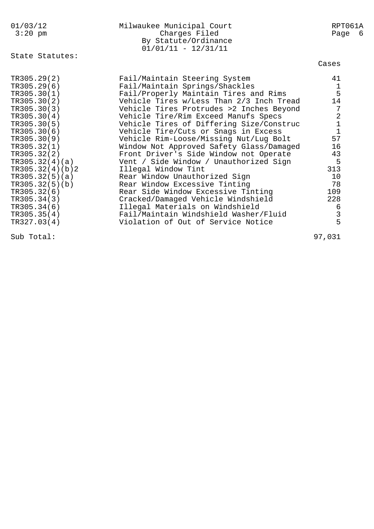| 01/03/12<br>$3:20$ pm                                                                                                                                                                                                                | Milwaukee Municipal Court<br>Charges Filed<br>By Statute/Ordinance<br>$01/01/11 - 12/31/11$                                                                                                                                                                                                                                                                                                                                                                                                                                                                                                                                                                                                                                                                                                                   | RPT061A<br>Page 6                                                                                                                                                       |
|--------------------------------------------------------------------------------------------------------------------------------------------------------------------------------------------------------------------------------------|---------------------------------------------------------------------------------------------------------------------------------------------------------------------------------------------------------------------------------------------------------------------------------------------------------------------------------------------------------------------------------------------------------------------------------------------------------------------------------------------------------------------------------------------------------------------------------------------------------------------------------------------------------------------------------------------------------------------------------------------------------------------------------------------------------------|-------------------------------------------------------------------------------------------------------------------------------------------------------------------------|
| State Statutes:                                                                                                                                                                                                                      |                                                                                                                                                                                                                                                                                                                                                                                                                                                                                                                                                                                                                                                                                                                                                                                                               | Cases                                                                                                                                                                   |
| TR305.29(2)<br>TR305.29(6)<br>TR305.30(1)<br>TR305.30(2)<br>TR305.30(3)<br>TR305.30(4)<br>TR305.30(5)<br>TR305.30(6)<br>TR305.30(9)<br>TR305.32(1)<br>TR305.32(4)(b)2<br>TR305.32(5)(b)<br>TR305.32(6)<br>TR305.34(6)<br>TR305.35(4) | Fail/Maintain Steering System<br>Fail/Maintain Springs/Shackles<br>Fail/Properly Maintain Tires and Rims<br>Vehicle Tires w/Less Than 2/3 Inch Tread<br>Vehicle Tires Protrudes >2 Inches Beyond<br>Vehicle Tire/Rim Exceed Manufs Specs<br>Vehicle Tires of Differing Size/Construc<br>Vehicle Tire/Cuts or Snags in Excess<br>Vehicle Rim-Loose/Missing Nut/Lug Bolt<br>Window Not Approved Safety Glass/Damaged<br>TR305.32(2) Front Driver's Side Window not Operate<br>TR305.32(4)(a) Vent / Side Window / Unauthorized Sign<br>Illegal Window Tint<br>TR305.32(5)(a) Rear Window Unauthorized Sign<br>Rear Window Excessive Tinting<br>Rear Side Window Excessive Tinting<br>TR305.34(3) Cracked/Damaged Vehicle Windshield<br>Illegal Materials on Windshield<br>Fail/Maintain Windshield Washer/Fluid | 41<br>$\frac{1}{5}$<br>14<br>$\overline{7}$<br>$\begin{array}{c} 2 \\ 1 \\ 1 \end{array}$<br>57<br>16<br>43<br>5<br>313<br>10<br>78<br>109<br>228<br>6<br>$\frac{3}{5}$ |
| TR327.03(4)                                                                                                                                                                                                                          | Violation of Out of Service Notice                                                                                                                                                                                                                                                                                                                                                                                                                                                                                                                                                                                                                                                                                                                                                                            |                                                                                                                                                                         |

Sub Total: 97,031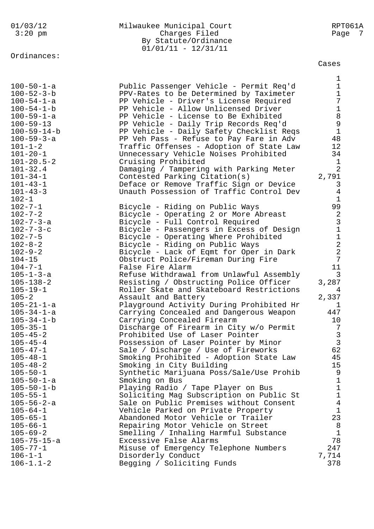# Ordinances:

### 01/03/12 Milwaukee Municipal Court RPT061A 3:20 pm Charges Filed Page 7 By Statute/Ordinance 01/01/11 - 12/31/11

Cases

|                     |                                          | 1              |
|---------------------|------------------------------------------|----------------|
| $100 - 50 - 1 - a$  | Public Passenger Vehicle - Permit Req'd  | $\mathbf 1$    |
| $100 - 52 - 3 - b$  | PPV-Rates to be Determined by Taximeter  | $\mathbf 1$    |
| $100 - 54 - 1 - a$  | PP Vehicle - Driver's License Required   | 7              |
| $100 - 54 - 1 - b$  | PP Vehicle - Allow Unlicensed Driver     | $1\,$          |
| $100 - 59 - 1 - a$  | PP Vehicle - License to Be Exhibited     | 8              |
| $100 - 59 - 13$     | PP Vehicle - Daily Trip Records Req'd    | $\mathsf{S}$   |
| $100 - 59 - 14 - b$ | PP Vehicle - Daily Safety Checklist Reqs | $\mathbf{1}$   |
| $100 - 59 - 3 - a$  | PP Veh Pass - Refuse to Pay Fare in Adv  | 48             |
| $101 - 1 - 2$       | Traffic Offenses - Adoption of State Law | 12             |
| $101 - 20 - 1$      | Unnecessary Vehicle Noises Prohibited    | 34             |
| $101 - 20.5 - 2$    | Cruising Prohibited                      | 1              |
| $101 - 32.4$        | Damaging / Tampering with Parking Meter  | $\overline{2}$ |
| $101 - 34 - 1$      | Contested Parking Citation(s)            | 2,791          |
| $101 - 43 - 1$      | Deface or Remove Traffic Sign or Device  | 3              |
| $101 - 43 - 3$      | Unauth Possession of Traffic Control Dev | $\overline{4}$ |
| $102 - 1$           |                                          | $\mathbf 1$    |
| $102 - 7 - 1$       | Bicycle - Riding on Public Ways          | 99             |
| $102 - 7 - 2$       | Bicycle - Operating 2 or More Abreast    | $\sqrt{2}$     |
| $102 - 7 - 3 - a$   | Bicycle - Full Control Required          | $\mathfrak{Z}$ |
| $102 - 7 - 3 - c$   | Bicycle - Passengers in Excess of Design | $\mathbf 1$    |
| $102 - 7 - 5$       | Bicycle - Operating Where Prohibited     | $1\,$          |
| $102 - 8 - 2$       | Bicycle - Riding on Public Ways          | $\overline{a}$ |
| $102 - 9 - 2$       | Bicycle - Lack of Eqmt for Oper in Dark  | $\overline{2}$ |
| $104 - 15$          | Obstruct Police/Fireman During Fire      | 7              |
| $104 - 7 - 1$       | False Fire Alarm                         | 11             |
| $105 - 1 - 3 - a$   | Refuse Withdrawal from Unlawful Assembly | 3              |
| $105 - 138 - 2$     | Resisting / Obstructing Police Officer   | 3,287          |
| $105 - 19 - 1$      | Roller Skate and Skateboard Restrictions | 4              |
| $105 - 2$           | Assault and Battery                      | 2,337          |
| $105 - 21 - 1 - a$  | Playground Activity During Prohibited Hr | ı              |
| $105 - 34 - 1 - a$  | Carrying Concealed and Dangerous Weapon  | 447            |
| $105 - 34 - 1 - b$  | Carrying Concealed Firearm               | 10             |
| $105 - 35 - 1$      | Discharge of Firearm in City w/o Permit  | 7              |
| $105 - 45 - 2$      | Prohibited Use of Laser Pointer          | $\mathfrak{Z}$ |
| $105 - 45 - 4$      | Possession of Laser Pointer by Minor     | $\overline{3}$ |
| $105 - 47 - 1$      | Sale / Discharge / Use of Fireworks      | 62             |
| $105 - 48 - 1$      | Smoking Prohibited - Adoption State Law  | 45             |
| $105 - 48 - 2$      | Smoking in City Building                 | 15             |
| $105 - 50 - 1$      | Synthetic Marijuana Poss/Sale/Use Prohib | 9              |
| $105 - 50 - 1 - a$  | Smoking on Bus                           | 1              |
| $105 - 50 - 1 - b$  | Playing Radio / Tape Player on Bus       | 1              |
| $105 - 55 - 1$      | Soliciting Mag Subscription on Public St | $\mathbf{1}$   |
| $105 - 56 - 2 - a$  | Sale on Public Premises without Consent  | $\overline{4}$ |
| $105 - 64 - 1$      | Vehicle Parked on Private Property       | 1              |
| $105 - 65 - 1$      | Abandoned Motor Vehicle or Trailer       | 23             |
| $105 - 66 - 1$      | Repairing Motor Vehicle on Street        | 8              |
| $105 - 69 - 2$      | Smelling / Inhaling Harmful Substance    | $\mathbf{1}$   |
| $105 - 75 - 15 - a$ | Excessive False Alarms                   | 78             |
| $105 - 77 - 1$      | Misuse of Emergency Telephone Numbers    | 247            |
| $106 - 1 - 1$       | Disorderly Conduct                       | 7,714          |
| $106 - 1.1 - 2$     | Begging / Soliciting Funds               | 378            |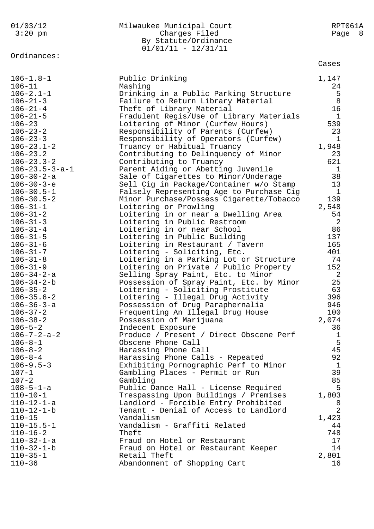| 01/03/12<br>$3:20$ pm                  | Milwaukee Municipal Court<br>Charges Filed<br>By Statute/Ordinance<br>$01/01/11 - 12/31/11$ | RPT061A<br>Page<br>8 |
|----------------------------------------|---------------------------------------------------------------------------------------------|----------------------|
| Ordinances:                            |                                                                                             | Cases                |
| $106 - 1.8 - 1$                        | Public Drinking                                                                             | 1,147                |
| $106 - 11$                             | Mashing                                                                                     | 24                   |
| $106 - 2.1 - 1$                        | Drinking in a Public Parking Structure                                                      | 5                    |
| $106 - 21 - 3$                         | Failure to Return Library Material                                                          | 8                    |
| $106 - 21 - 4$                         | Theft of Library Material                                                                   | 16                   |
| $106 - 21 - 5$<br>$106 - 23$           | Fradulent Regis/Use of Library Materials<br>Loitering of Minor (Curfew Hours)               | $\mathbf 1$<br>539   |
| $106 - 23 - 2$                         | Responsibility of Parents (Curfew)                                                          | 23                   |
| $106 - 23 - 3$                         | Responsibility of Operators (Curfew)                                                        | 1                    |
| $106 - 23.1 - 2$                       | Truancy or Habitual Truancy                                                                 | 1,948                |
| $106 - 23.2$                           | Contributing to Delinquency of Minor                                                        | 23                   |
| $106 - 23.3 - 2$                       | Contributing to Truancy                                                                     | 621                  |
| $106 - 23.5 - 3 - a - 1$               | Parent Aiding or Abetting Juvenile                                                          | $\mathbf 1$          |
| $106 - 30 - 2 - a$                     | Sale of Cigarettes to Minor/Underage                                                        | 38                   |
| $106 - 30 - 3 - e$                     | Sell Cig in Package/Container w/o Stamp                                                     | 13                   |
| $106 - 30.5 - 1$                       | Falsely Representing Age to Purchase Cig                                                    | 1                    |
| $106 - 30.5 - 2$                       | Minor Purchase/Possess Cigarette/Tobacco                                                    | 139                  |
| $106 - 31 - 1$<br>$106 - 31 - 2$       | Loitering or Prowling                                                                       | 2,548<br>54          |
| $106 - 31 - 3$                         | Loitering in or near a Dwelling Area<br>Loitering in Public Restroom                        | $\overline{2}$       |
| $106 - 31 - 4$                         | Loitering in or near School                                                                 | 86                   |
| $106 - 31 - 5$                         | Loitering in Public Building                                                                | 137                  |
| $106 - 31 - 6$                         | Loitering in Restaurant / Tavern                                                            | 165                  |
| $106 - 31 - 7$                         | Loitering - Soliciting, Etc.                                                                | 401                  |
| $106 - 31 - 8$                         | Loitering in a Parking Lot or Structure                                                     | 74                   |
| $106 - 31 - 9$                         | Loitering on Private / Public Property                                                      | 152                  |
| 106-34-2-a                             | Selling Spray Paint, Etc. to Minor                                                          | 2                    |
| $106 - 34 - 2 - b$                     | Possession of Spray Paint, Etc. by Minor                                                    | 25                   |
| $106 - 35 - 2$                         | Loitering - Soliciting Prostitute                                                           | 63                   |
| $106 - 35.6 - 2$<br>$106 - 36 - 3 - a$ | Loitering - Illegal Drug Activity<br>Possession of Drug Paraphernalia                       | 396<br>946           |
| $106 - 37 - 2$                         | Frequenting An Illegal Drug House                                                           | 100                  |
| $106 - 38 - 2$                         | Possession of Marijuana                                                                     | 2,074                |
| $106 - 5 - 2$                          | Indecent Exposure                                                                           | 36                   |
| $106 - 7 - 2 - a - 2$                  | Produce / Present / Direct Obscene Perf                                                     | 1                    |
| $106 - 8 - 1$                          | Obscene Phone Call                                                                          | 5                    |
| $106 - 8 - 2$                          | Harassing Phone Call                                                                        | 45                   |
| $106 - 8 - 4$                          | Harassing Phone Calls - Repeated                                                            | 92                   |
| $106 - 9.5 - 3$                        | Exhibiting Pornographic Perf to Minor                                                       | 1                    |
| $107 - 1$                              | Gambling Places - Permit or Run                                                             | 39<br>85             |
| $107 - 2$<br>$108 - 5 - 1 - a$         | Gambling<br>Public Dance Hall - License Required                                            | 5                    |
| $110 - 10 - 1$                         | Trespassing Upon Buildings / Premises                                                       | 1,803                |
| $110 - 12 - 1 - a$                     | Landlord - Forcible Entry Prohibited                                                        | 8                    |
| $110 - 12 - 1 - b$                     | Tenant - Denial of Access to Landlord                                                       | $\overline{2}$       |
| $110 - 15$                             | Vandalism                                                                                   | 1,423                |
| $110 - 15.5 - 1$                       | Vandalism - Graffiti Related                                                                | 44                   |
| $110 - 16 - 2$                         | Theft                                                                                       | 748                  |
| $110 - 32 - 1 - a$                     | Fraud on Hotel or Restaurant                                                                | 17                   |
| $110 - 32 - 1 - b$                     | Fraud on Hotel or Restaurant Keeper                                                         | 14                   |
| $110 - 35 - 1$                         | Retail Theft                                                                                | 2,801                |
| $110 - 36$                             | Abandonment of Shopping Cart                                                                | 16                   |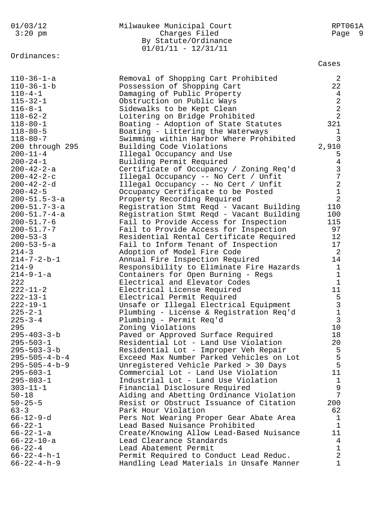| 01/03/12                | Milwaukee Municipal Court                    | RPT061A           |
|-------------------------|----------------------------------------------|-------------------|
| $3:20$ pm               | Charges Filed                                | Page 9            |
|                         | By Statute/Ordinance                         |                   |
|                         | $01/01/11 - 12/31/11$                        |                   |
| Ordinances:             |                                              |                   |
|                         |                                              | Cases             |
| $110 - 36 - 1 - a$      | Removal of Shopping Cart Prohibited          | $\overline{2}$    |
| $110 - 36 - 1 - b$      | Possession of Shopping Cart                  | 22                |
| $110 - 4 - 1$           | Damaging of Public Property                  | $\overline{4}$    |
| $115 - 32 - 1$          | Obstruction on Public Ways                   | $\sqrt{2}$        |
| $116 - 8 - 1$           | Sidewalks to be Kept Clean                   | $\overline{a}$    |
| $118 - 62 - 2$          | Loitering on Bridge Prohibited               | $\overline{2}$    |
| $118 - 80 - 1$          | Boating - Adoption of State Statutes         | 321               |
| $118 - 80 - 5$          | Boating - Littering the Waterways            | 1                 |
| $118 - 80 - 7$          | Swimming within Harbor Where Prohibited      | 3                 |
| 200 through 295         | Building Code Violations                     | 2,910             |
| $200 - 11 - 4$          | Illegal Occupancy and Use                    | 5                 |
| $200 - 24 - 1$          | Building Permit Required                     | $\,4\,$           |
| 200-42-2-a              | Certificate of Occupancy / Zoning Req'd      | $\frac{3}{7}$     |
| $200 - 42 - 2 - c$      | Illegal Occupancy -- No Cert / Unfit         |                   |
| $200 - 42 - 2 - d$      | Illegal Occupancy -- No Cert / Unfit         | $\overline{a}$    |
| $200 - 42 - 5$          | Occupancy Certificate to be Posted           | $\overline{1}$    |
| 200-51.5-3-a            | Property Recording Required                  | $\overline{2}$    |
| 200-51.7-3-a            | Registration Stmt Reqd - Vacant Building     | 110               |
| 200-51.7-4-a            | Registration Stmt Reqd - Vacant Building     | 100               |
| $200 - 51.7 - 6$        | Fail to Provide Access for Inspection        | 115               |
| $200 - 51.7 - 7$        | Fail to Provide Access for Inspection        | 97                |
| $200 - 53 - 3$          | Residential Rental Certificate Required      | 12                |
| 200-53-5-a              | Fail to Inform Tenant of Inspection          | 17                |
| $214 - 3$               | Adoption of Model Fire Code                  | 2                 |
| $214 - 7 - 2 - b - 1$   | Annual Fire Inspection Required              | 14                |
| $214 - 9$               | Responsibility to Eliminate Fire Hazards     | $\mathbf{1}$      |
| $214 - 9 - 1 - a$       | Containers for Open Burning - Regs           | $\mathbf{1}$      |
| 222                     | Electrical and Elevator Codes                | $\mathbf{1}$      |
| $222 - 11 - 2$          | Electrical License Required                  | 11                |
| $222 - 13 - 1$          | Electrical Permit Required                   | 5                 |
| $222 - 19 - 1$          | Unsafe or Illegal Electrical Equipment       | 3<br>$\mathbf{1}$ |
| $225 - 2 - 1$           | Plumbing - License & Registration Req'd      | $\overline{3}$    |
| $225 - 3 - 4$<br>295    | Plumbing - Permit Req'd<br>Zoning Violations | 10                |
| $295 - 403 - 3 - b$     | Paved or Approved Surface Required           | 18                |
| $295 - 503 - 1$         | Residential Lot - Land Use Violation         | 20                |
| $295 - 503 - 3 - b$     | Residential Lot - Improper Veh Repair        | 5                 |
| $295 - 505 - 4 - b - 4$ | Exceed Max Number Parked Vehicles on Lot     | 5                 |
| $295 - 505 - 4 - b - 9$ | Unregistered Vehicle Parked > 30 Days        | 5                 |
| $295 - 603 - 1$         | Commercial Lot - Land Use Violation          | 11                |
| $295 - 803 - 1$         | Industrial Lot - Land Use Violation          | $\mathbf 1$       |
| $303 - 11 - 1$          | Financial Disclosure Required                | 9                 |
| $50 - 18$               | Aiding and Abetting Ordinance Violation      | 7                 |
| $50 - 25 - 5$           | Resist or Obstruct Issuance of Citation      | 200               |
| $63 - 3$                | Park Hour Violation                          | 62                |
| 66-12-9-d               | Pers Not Wearing Proper Gear Abate Area      | 1                 |
| $66 - 22 - 1$           | Lead Based Nuisance Prohibited               | $\mathbf{1}$      |
| $66 - 22 - 1 - a$       | Create/Knowing Allow Lead-Based Nuisance     | 11                |
| $66 - 22 - 10 - a$      | Lead Clearance Standards                     | 4                 |
| $66 - 22 - 4$           | Lead Abatement Permit                        | $\mathbf{1}$      |
| $66 - 22 - 4 - h - 1$   | Permit Required to Conduct Lead Reduc.       | $\overline{2}$    |
| $66 - 22 - 4 - h - 9$   | Handling Lead Materials in Unsafe Manner     | $\mathbf{1}$      |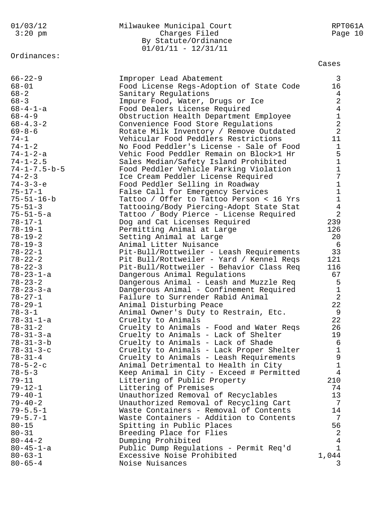# Ordinances:

### 01/03/12 Milwaukee Municipal Court RPT061A 3:20 pm Charges Filed Page 10 By Statute/Ordinance 01/01/11 - 12/31/11

Cases

| $66 - 22 - 9$          | Improper Lead Abatement                  | 3              |
|------------------------|------------------------------------------|----------------|
| $68 - 01$              | Food License Regs-Adoption of State Code | 16             |
| $68 - 2$               | Sanitary Regulations                     | 4              |
| $68 - 3$               | Impure Food, Water, Drugs or Ice         | $\overline{a}$ |
| $68 - 4 - 1 - a$       | Food Dealers License Required            | $\overline{4}$ |
| $68 - 4 - 9$           | Obstruction Health Department Employee   | $\mathbf 1$    |
| $68 - 4.3 - 2$         | Convenience Food Store Regulations       | $\overline{a}$ |
| $69 - 8 - 6$           | Rotate Milk Inventory / Remove Outdated  | $\overline{2}$ |
| $74 - 1$               | Vehicular Food Peddlers Restrictions     | 11             |
| $74 - 1 - 2$           | No Food Peddler's License - Sale of Food | $\mathbf 1$    |
| $74 - 1 - 2 - a$       | Vehic Food Peddler Remain on Block>1 Hr  | 5              |
| $74 - 1 - 2.5$         | Sales Median/Safety Island Prohibited    | $\mathbf{1}$   |
| $74 - 1 - 7.5 - b - 5$ | Food Peddler Vehicle Parking Violation   | $\mathbf{1}$   |
| $74 - 2 - 3$           | Ice Cream Peddler License Required       | 7              |
| $74 - 3 - 3 - e$       | Food Peddler Selling in Roadway          | $\mathbf{1}$   |
| $75 - 17 - 1$          | False Call for Emergency Services        | $\mathbf{1}$   |
| $75 - 51 - 16 - b$     | Tattoo / Offer to Tattoo Person < 16 Yrs | $\mathbf{1}$   |
| $75 - 51 - 3$          | Tattooing/Body Piercing-Adopt State Stat | $\overline{4}$ |
| $75 - 51 - 5 - a$      | Tattoo / Body Pierce - License Required  | $\overline{a}$ |
| $78 - 17 - 1$          | Dog and Cat Licenses Required            | 239            |
| $78 - 19 - 1$          | Permitting Animal at Large               | 126            |
| $78 - 19 - 2$          | Setting Animal at Large                  | 20             |
| $78 - 19 - 3$          | Animal Litter Nuisance                   | 6              |
| $78 - 22 - 1$          | Pit-Bull/Rottweiler - Leash Requirements | 33             |
| $78 - 22 - 2$          | Pit Bull/Rottweiler - Yard / Kennel Reqs | 121            |
| $78 - 22 - 3$          | Pit-Bull/Rottweiler - Behavior Class Req | 116            |
| $78 - 23 - 1 - a$      | Dangerous Animal Regulations             | 67             |
| $78 - 23 - 2$          | Dangerous Animal - Leash and Muzzle Req  | 5              |
| $78 - 23 - 3 - a$      | Dangerous Animal - Confinement Required  | $\mathbf{1}$   |
| $78 - 27 - 1$          | Failure to Surrender Rabid Animal        | 2              |
| $78 - 29 - 1$          | Animal Disturbing Peace                  | 22             |
| $78 - 3 - 1$           | Animal Owner's Duty to Restrain, Etc.    | 9              |
| $78 - 31 - 1 - a$      | Cruelty to Animals                       | 22             |
| $78 - 31 - 2$          | Cruelty to Animals - Food and Water Reqs | 26             |
| $78 - 31 - 3 - a$      | Cruelty to Animals - Lack of Shelter     | 19             |
| $78 - 31 - 3 - b$      | Cruelty to Animals - Lack of Shade       | 6              |
| $78 - 31 - 3 - c$      | Cruelty to Animals - Lack Proper Shelter | $\mathbf{1}$   |
| $78 - 31 - 4$          | Cruelty to Animals - Leash Requirements  | 9              |
| $78 - 5 - 2 - c$       | Animal Detrimental to Health in City     | $\mathbf 1$    |
| $78 - 5 - 3$           | Keep Animal in City - Exceed # Permitted | 4              |
| $79 - 11$              | Littering of Public Property             | 210            |
| $79 - 12 - 1$          | Littering of Premises                    | 74             |
| $79 - 40 - 1$          | Unauthorized Removal of Recyclables      | 13             |
| $79 - 40 - 2$          | Unauthorized Removal of Recycling Cart   | 7              |
| $79 - 5.5 - 1$         | Waste Containers - Removal of Contents   | 14             |
| $79 - 5.7 - 1$         | Waste Containers - Addition to Contents  | 7              |
| $80 - 15$              | Spitting in Public Places                | 56             |
| $80 - 31$              | Breeding Place for Flies                 | 2              |
| $80 - 44 - 2$          | Dumping Prohibited                       | 4              |
| $80 - 45 - 1 - a$      | Public Dump Regulations - Permit Req'd   | $\mathbf 1$    |
| $80 - 63 - 1$          | Excessive Noise Prohibited               | 1,044          |
| $80 - 65 - 4$          | Noise Nuisances                          | 3              |
|                        |                                          |                |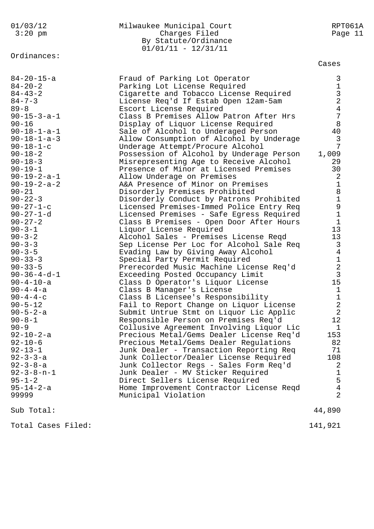Ordinances:

### 01/03/12 Milwaukee Municipal Court RPT061A 3:20 pm Charges Filed Page 11 By Statute/Ordinance  $01/01/11 - 12/31/11$

Cases

| $84 - 20 - 15 - a$<br>$84 - 20 - 2$<br>$84 - 43 - 2$<br>$84 - 7 - 3$<br>$89 - 8$<br>$90 - 15 - 3 - a - 1$<br>$90 - 16$<br>$90 - 18 - 1 - a - 1$<br>$90 - 18 - 1 - a - 3$<br>$90 - 18 - 1 - c$<br>$90 - 18 - 2$<br>$90 - 18 - 3$<br>$90 - 19 - 1$<br>$90 - 19 - 2 - a - 1$<br>$90 - 19 - 2 - a - 2$<br>$90 - 21$<br>$90 - 22 - 3$<br>$90 - 27 - 1 - c$<br>$90 - 27 - 1 - d$<br>$90 - 27 - 2$<br>$90 - 3 - 1$<br>$90 - 3 - 2$<br>$90 - 3 - 3$<br>$90 - 3 - 5$<br>$90 - 33 - 3$<br>$90 - 33 - 5$<br>$90 - 36 - 4 - d - 1$<br>$90 - 4 - 10 - a$<br>$90 - 4 - 4 - a$<br>$90 - 4 - 4 - c$<br>$90 - 5 - 12$<br>$90 - 5 - 2 - a$<br>$90 - 8 - 1$<br>$90 - 9$<br>$92 - 10 - 2 - a$<br>$92 - 10 - 6$<br>$92 - 13 - 1$<br>$92 - 3 - 3 - a$<br>$92 - 3 - 8 - a$<br>$92 - 3 - 8 - n - 1$<br>$95 - 1 - 2$<br>$95 - 14 - 2 - a$<br>99999 | Fraud of Parking Lot Operator<br>Parking Lot License Required<br>Cigarette and Tobacco License Required<br>License Req'd If Estab Open 12am-5am<br>Escort License Required<br>Class B Premises Allow Patron After Hrs<br>Display of Liquor License Required<br>Sale of Alcohol to Underaged Person<br>Allow Consumption of Alcohol by Underage<br>Underage Attempt/Procure Alcohol<br>Possession of Alcohol by Underage Person<br>Misrepresenting Age to Receive Alcohol<br>Presence of Minor at Licensed Premises<br>Allow Underage on Premises<br>A&A Presence of Minor on Premises<br>Disorderly Premises Prohibited<br>Disorderly Conduct by Patrons Prohibited<br>Licensed Premises-Immed Police Entry Req<br>Licensed Premises - Safe Egress Required<br>Class B Premises - Open Door After Hours<br>Liquor License Required<br>Alcohol Sales - Premises License Reqd<br>Sep License Per Loc for Alcohol Sale Req<br>Evading Law by Giving Away Alcohol<br>Special Party Permit Required<br>Prerecorded Music Machine License Req'd<br>Exceeding Posted Occupancy Limit<br>Class D Operator's Liquor License<br>Class B Manager's License<br>Class B Licensee's Responsibility<br>Fail to Report Change on Liquor License<br>Submit Untrue Stmt on Liquor Lic Applic<br>Responsible Person on Premises Req'd<br>Collusive Agreement Involving Liquor Lic<br>Precious Metal/Gems Dealer License Req'd<br>Precious Metal/Gems Dealer Regulations<br>Junk Dealer - Transaction Reporting Req<br>Junk Collector/Dealer License Required<br>Junk Collector Regs - Sales Form Req'd<br>Junk Dealer - MV Sticker Required<br>Direct Sellers License Required<br>Home Improvement Contractor License Reqd<br>Municipal Violation | 3<br>$\mathbf 1$<br>$\frac{3}{2}$<br>$\overline{4}$<br>$\overline{7}$<br>8<br>40<br>$\mathfrak{Z}$<br>7<br>1,009<br>29<br>30<br>2<br>$1\,$<br>8<br>$\mathbf 1$<br>9<br>$\mathbf 1$<br>$\mathbf{1}$<br>13<br>13<br>3<br>$\overline{4}$<br>$\frac{1}{2}$<br>$\mathbf{3}$<br>15<br>$\mathbf{1}$<br>$\mathbf 1$<br>$\overline{a}$<br>$\overline{2}$<br>12<br>$\mathbf{1}$<br>153<br>82<br>71<br>108<br>2<br>$\mathbf 1$<br>5<br>$\bf 4$<br>$\overline{2}$ |
|---------------------------------------------------------------------------------------------------------------------------------------------------------------------------------------------------------------------------------------------------------------------------------------------------------------------------------------------------------------------------------------------------------------------------------------------------------------------------------------------------------------------------------------------------------------------------------------------------------------------------------------------------------------------------------------------------------------------------------------------------------------------------------------------------------------------------|--------------------------------------------------------------------------------------------------------------------------------------------------------------------------------------------------------------------------------------------------------------------------------------------------------------------------------------------------------------------------------------------------------------------------------------------------------------------------------------------------------------------------------------------------------------------------------------------------------------------------------------------------------------------------------------------------------------------------------------------------------------------------------------------------------------------------------------------------------------------------------------------------------------------------------------------------------------------------------------------------------------------------------------------------------------------------------------------------------------------------------------------------------------------------------------------------------------------------------------------------------------------------------------------------------------------------------------------------------------------------------------------------------------------------------------------------------------------------------------------------------------------------------------------------------------------------------------------------------------------------------------------------------------------------------------------------------------------------------|-------------------------------------------------------------------------------------------------------------------------------------------------------------------------------------------------------------------------------------------------------------------------------------------------------------------------------------------------------------------------------------------------------------------------------------------------------|
| Sub Total:                                                                                                                                                                                                                                                                                                                                                                                                                                                                                                                                                                                                                                                                                                                                                                                                                |                                                                                                                                                                                                                                                                                                                                                                                                                                                                                                                                                                                                                                                                                                                                                                                                                                                                                                                                                                                                                                                                                                                                                                                                                                                                                                                                                                                                                                                                                                                                                                                                                                                                                                                                | 44,890                                                                                                                                                                                                                                                                                                                                                                                                                                                |

Total Cases Filed: 141,921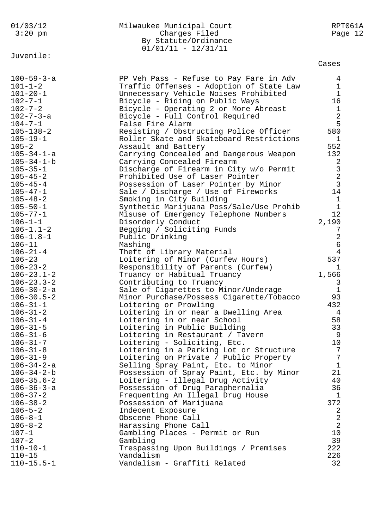| 01/03/12<br>$3:20$ pm            | Milwaukee Municipal Court<br>Charges Filed<br>By Statute/Ordinance<br>$01/01/11 - 12/31/11$ | RPT061A<br>Page 12          |
|----------------------------------|---------------------------------------------------------------------------------------------|-----------------------------|
| Juvenile:                        |                                                                                             | Cases                       |
|                                  |                                                                                             |                             |
| $100 - 59 - 3 - a$               | PP Veh Pass - Refuse to Pay Fare in Adv                                                     | 4                           |
| $101 - 1 - 2$                    | Traffic Offenses - Adoption of State Law                                                    | $\mathbf 1$<br>$\mathbf{1}$ |
| $101 - 20 - 1$<br>$102 - 7 - 1$  | Unnecessary Vehicle Noises Prohibited<br>Bicycle - Riding on Public Ways                    | 16                          |
| $102 - 7 - 2$                    | Bicycle - Operating 2 or More Abreast                                                       | 1                           |
| 102-7-3-a                        | Bicycle - Full Control Required                                                             | 2                           |
| $104 - 7 - 1$                    | False Fire Alarm                                                                            | 5                           |
| $105 - 138 - 2$                  | Resisting / Obstructing Police Officer                                                      | 580                         |
| $105 - 19 - 1$                   | Roller Skate and Skateboard Restrictions                                                    | 1                           |
| $105 - 2$                        | Assault and Battery                                                                         | 552                         |
| 105-34-1-a                       | Carrying Concealed and Dangerous Weapon                                                     | 132                         |
| $105 - 34 - 1 - b$               | Carrying Concealed Firearm                                                                  | 2                           |
| $105 - 35 - 1$                   | Discharge of Firearm in City w/o Permit                                                     | $\mathsf 3$                 |
| $105 - 45 - 2$                   | Prohibited Use of Laser Pointer                                                             | $\overline{2}$              |
| $105 - 45 - 4$                   | Possession of Laser Pointer by Minor                                                        | $\overline{3}$              |
| $105 - 47 - 1$                   | Sale / Discharge / Use of Fireworks                                                         | 14                          |
| $105 - 48 - 2$                   | Smoking in City Building                                                                    | 1                           |
| $105 - 50 - 1$                   | Synthetic Marijuana Poss/Sale/Use Prohib                                                    | $\mathbf{1}$                |
| $105 - 77 - 1$                   | Misuse of Emergency Telephone Numbers                                                       | 12                          |
| $106 - 1 - 1$                    | Disorderly Conduct                                                                          | 2,190                       |
| $106 - 1.1 - 2$                  | Begging / Soliciting Funds                                                                  | 7                           |
| $106 - 1.8 - 1$                  | Public Drinking                                                                             | $\overline{2}$              |
| $106 - 11$                       | Mashing                                                                                     | 6                           |
| $106 - 21 - 4$                   | Theft of Library Material                                                                   | 4                           |
| $106 - 23$                       | Loitering of Minor (Curfew Hours)                                                           | 537                         |
| $106 - 23 - 2$                   | Responsibility of Parents (Curfew)                                                          | 1                           |
| $106 - 23.1 - 2$                 | Truancy or Habitual Truancy                                                                 | 1,566                       |
| $106 - 23.3 - 2$                 | Contributing to Truancy                                                                     | 3                           |
| $106 - 30 - 2 - a$               | Sale of Cigarettes to Minor/Underage                                                        | $\mathbf 1$                 |
| $106 - 30.5 - 2$                 | Minor Purchase/Possess Cigarette/Tobacco                                                    | 93                          |
| $106 - 31 - 1$                   | Loitering or Prowling                                                                       | 432                         |
| $106 - 31 - 2$                   | Loitering in or near a Dwelling Area                                                        | 4                           |
| $106 - 31 - 4$                   | Loitering in or near School                                                                 | 58                          |
| $106 - 31 - 5$<br>$106 - 31 - 6$ | Loitering in Public Building<br>Loitering in Restaurant / Tavern                            | 33<br>9                     |
| $106 - 31 - 7$                   | Loitering - Soliciting, Etc.                                                                | 10                          |
| $106 - 31 - 8$                   | Loitering in a Parking Lot or Structure                                                     | 7                           |
| $106 - 31 - 9$                   | Loitering on Private / Public Property                                                      | 7                           |
| $106 - 34 - 2 - a$               | Selling Spray Paint, Etc. to Minor                                                          | $\mathbf{1}$                |
| $106 - 34 - 2 - b$               | Possession of Spray Paint, Etc. by Minor                                                    | 21                          |
| $106 - 35.6 - 2$                 | Loitering - Illegal Drug Activity                                                           | 40                          |
| $106 - 36 - 3 - a$               | Possession of Drug Paraphernalia                                                            | 36                          |
| $106 - 37 - 2$                   | Frequenting An Illegal Drug House                                                           | 1                           |
| $106 - 38 - 2$                   | Possession of Marijuana                                                                     | 372                         |
| $106 - 5 - 2$                    | Indecent Exposure                                                                           | 2                           |
| $106 - 8 - 1$                    | Obscene Phone Call                                                                          | $\overline{2}$              |
| $106 - 8 - 2$                    | Harassing Phone Call                                                                        | 2                           |
| $107 - 1$                        | Gambling Places - Permit or Run                                                             | 10                          |
| $107 - 2$                        | Gambling                                                                                    | 39                          |
| $110 - 10 - 1$                   | Trespassing Upon Buildings / Premises                                                       | 222                         |
| $110 - 15$                       | Vandalism                                                                                   | 226                         |
| $110 - 15.5 - 1$                 | Vandalism - Graffiti Related                                                                | 32                          |